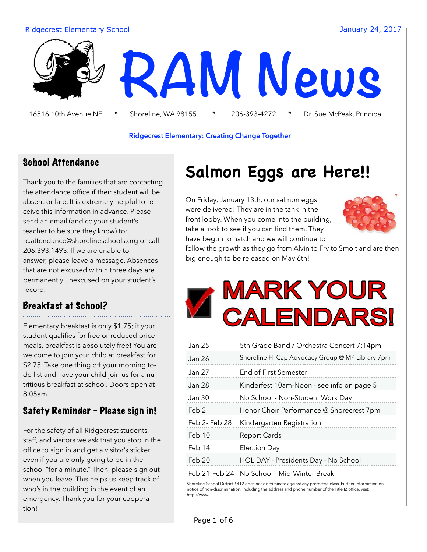#### Ridgecrest Elementary School January 24, 2017



16516 10th Avenue NE \* Shoreline, WA 98155 \* 206-393-4272 \* Dr. Sue McPeak, Principal

#### **Ridgecrest Elementary: Creating Change Together**

#### School Attendance

Thank you to the families that are contacting the attendance office if their student will be absent or late. It is extremely helpful to receive this information in advance. Please send an email (and cc your student's teacher to be sure they know) to: [rc.attendance@shorelineschools.org](mailto:rc.attendance@shorelineschools.org) or call 206.393.1493. If we are unable to answer, please leave a message. Absences that are not excused within three days are permanently unexcused on your student's record.

### Breakfast at School?

Elementary breakfast is only \$1.75; if your student qualifies for free or reduced price meals, breakfast is absolutely free! You are welcome to join your child at breakfast for \$2.75. Take one thing off your morning todo list and have your child join us for a nutritious breakfast at school. Doors open at 8:05am.

### Safety Reminder - Please sign in!

For the safety of all Ridgecrest students, staff, and visitors we ask that you stop in the office to sign in and get a visitor's sticker even if you are only going to be in the school "for a minute." Then, please sign out when you leave. This helps us keep track of who's in the building in the event of an emergency. Thank you for your cooperation!

# **Salmon Eggs are Here!!**

On Friday, January 13th, our salmon eggs were delivered! They are in the tank in the front lobby. When you come into the building, take a look to see if you can find them. They have begun to hatch and we will continue to



follow the growth as they go from Alvin to Fry to Smolt and are then big enough to be released on May 6th!



| Jan 25        | 5th Grade Band / Orchestra Concert 7:14pm        |
|---------------|--------------------------------------------------|
| Jan 26        | Shoreline Hi Cap Advocacy Group @ MP Library 7pm |
| Jan 27        | <b>End of First Semester</b>                     |
| Jan 28        | Kinderfest 10am-Noon - see info on page 5        |
| Jan 30        | No School - Non-Student Work Day                 |
| Feb 2         | Honor Choir Performance @ Shorecrest 7pm         |
| Feb 2- Feb 28 | Kindergarten Registration                        |
| Feb 10        | <b>Report Cards</b>                              |
| Feb 14        | <b>Election Day</b>                              |
| Feb 20        | HOLIDAY - Presidents Day - No School             |
|               |                                                  |

Feb 21-Feb 24 No School - Mid-Winter Break

Shoreline School District #412 does not discriminate against any protected class. Further information on notice of non-discrimination, including the address and phone number of the Title IZ office, visit: http://www.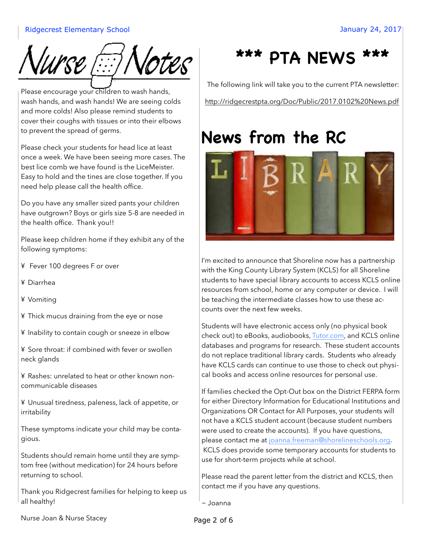

Please encourage your children to wash hands, wash hands, and wash hands! We are seeing colds and more colds! Also please remind students to cover their coughs with tissues or into their elbows to prevent the spread of germs.

Please check your students for head lice at least once a week. We have been seeing more cases. The best lice comb we have found is the LiceMeister. Easy to hold and the tines are close together. If you need help please call the health office.

Do you have any smaller sized pants your children have outgrown? Boys or girls size 5-8 are needed in the health office. Thank you!!

Please keep children home if they exhibit any of the following symptoms:

- ¥ Fever 100 degrees F or over
- ¥ Diarrhea
- ¥ Vomiting
- ¥ Thick mucus draining from the eye or nose
- ¥ Inability to contain cough or sneeze in elbow

¥ Sore throat: if combined with fever or swollen neck glands

¥ Rashes: unrelated to heat or other known noncommunicable diseases

¥ Unusual tiredness, paleness, lack of appetite, or irritability

These symptoms indicate your child may be contagious.

Students should remain home until they are symptom free (without medication) for 24 hours before returning to school.

Thank you Ridgecrest families for helping to keep us all healthy!



The following link will take you to the current PTA newsletter: http://ridgecrestpta.org/Doc/Public/2017.0102%20News.pdf

# **News from the RC**



I'm excited to announce that Shoreline now has a partnership with the King County Library System (KCLS) for all Shoreline students to have special library accounts to access KCLS online resources from school, home or any computer or device. I will be teaching the intermediate classes how to use these accounts over the next few weeks.

Students will have electronic access only (no physical book check out) to eBooks, audiobooks, [Tutor.com,](http://tutor.com/) and KCLS online databases and programs for research. These student accounts do not replace traditional library cards. Students who already have KCLS cards can continue to use those to check out physical books and access online resources for personal use.

If families checked the Opt-Out box on the District FERPA form for either Directory Information for Educational Institutions and Organizations OR Contact for All Purposes, your students will not have a KCLS student account (because student numbers were used to create the accounts). If you have questions, please contact me at [joanna.freeman@shorelineschools.org.](mailto:joanna.freeman@shorelineschools.org) KCLS does provide some temporary accounts for students to use for short-term projects while at school.

Please read the parent letter from the district and KCLS, then contact me if you have any questions.

~ Joanna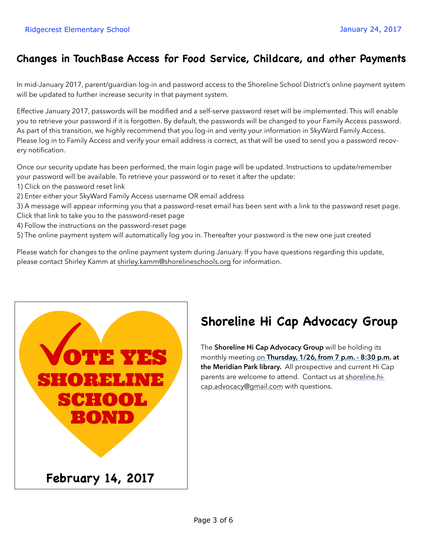### **Changes in TouchBase Access for Food Service, Childcare, and other Payments**

In mid-January 2017, parent/guardian log-in and password access to the Shoreline School District's online payment system will be updated to further increase security in that payment system.

Effective January 2017, passwords will be modified and a self-serve password reset will be implemented. This will enable you to retrieve your password if it is forgotten. By default, the passwords will be changed to your Family Access password. As part of this transition, we highly recommend that you log-in and verity your information in SkyWard Family Access. Please log in to Family Access and verify your email address is correct, as that will be used to send you a password recovery notification.

Once our security update has been performed, the main login page will be updated. Instructions to update/remember your password will be available. To retrieve your password or to reset it after the update:

- 1) Click on the password reset link
- 2) Enter either your SkyWard Family Access username OR email address
- 3) A message will appear informing you that a password-reset email has been sent with a link to the password reset page. Click that link to take you to the password-reset page
- 
- 4) Follow the instructions on the password-reset page
- 5) The online payment system will automatically log you in. Thereafter your password is the new one just created

Please watch for changes to the online payment system during January. If you have questions regarding this update, please contact Shirley Kamm at [shirley.kamm@shorelineschools.org](mailto:shirley.kamm@shorelineschools.org) for information.



## **Shoreline Hi Cap Advocacy Group**

The **Shoreline Hi Cap Advocacy Group** will be holding its monthly meeting on **Thursday, 1/26, from 7 p.m. - 8:30 p.m. at the Meridian Park library.** All prospective and current Hi Cap parents are welcome to attend. Contact us at shoreline.hicap.advocacy@gmail.com with questions.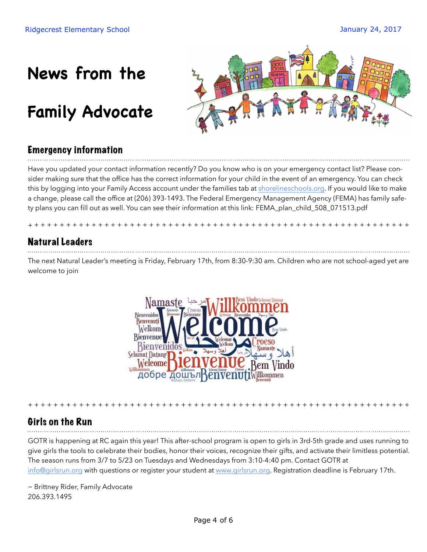# **News from the**

# **Family Advocate**



### Emergency information

Have you updated your contact information recently? Do you know who is on your emergency contact list? Please consider making sure that the office has the correct information for your child in the event of an emergency. You can check this by logging into your Family Access account under the families tab at [shorelineschools.org.](http://shorelineschools.org/) If you would like to make a change, please call the office at (206) 393-1493. The Federal Emergency Management Agency (FEMA) has family safety plans you can fill out as well. You can see their information at this link: FEMA\_plan\_child\_508\_071513.pdf

+ + + + + + + + + + + + + + + + + + + + + + + + + + + + + + + + + + + + + + + + + + + + + + + + + + + + + + + + + + + +

#### Natural Leaders

The next Natural Leader's meeting is Friday, February 17th, from 8:30-9:30 am. Children who are not school-aged yet are welcome to join



#### Girls on the Run

GOTR is happening at RC again this year! This after-school program is open to girls in 3rd-5th grade and uses running to give girls the tools to celebrate their bodies, honor their voices, recognize their gifts, and activate their limitless potential. The season runs from 3/7 to 5/23 on Tuesdays and Wednesdays from 3:10-4:40 pm. Contact GOTR at [info@girlsrun.org](mailto:info@girlsrun.org) with questions or register your student at [www.girlsrun.org](http://www.girlsrun.org/). Registration deadline is February 17th.

+ + + + + + + + + + + + + + + + + + + + + + + + + + + + + + + + + + + + + + + + + + + + + + + + + + + + + + + + + + + +

~ Brittney Rider, Family Advocate 206.393.1495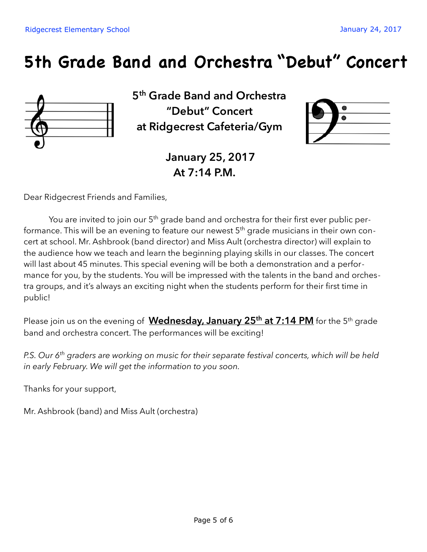# **5th Grade Band and Orchestra "Debut" Concert**



**5th Grade Band and Orchestra "Debut" Concert at Ridgecrest Cafeteria/Gym** 



**January 25, 2017 At 7:14 P.M.** 

Dear Ridgecrest Friends and Families,

You are invited to join our  $5<sup>th</sup>$  grade band and orchestra for their first ever public performance. This will be an evening to feature our newest  $5<sup>th</sup>$  grade musicians in their own concert at school. Mr. Ashbrook (band director) and Miss Ault (orchestra director) will explain to the audience how we teach and learn the beginning playing skills in our classes. The concert will last about 45 minutes. This special evening will be both a demonstration and a performance for you, by the students. You will be impressed with the talents in the band and orchestra groups, and it's always an exciting night when the students perform for their first time in public!

Please join us on the evening of **Wednesday, January 25<sup>th</sup> at 7:14 PM** for the 5<sup>th</sup> grade band and orchestra concert. The performances will be exciting!

*P.S. Our 6th graders are working on music for their separate festival concerts, which will be held in early February. We will get the information to you soon.* 

Thanks for your support,

Mr. Ashbrook (band) and Miss Ault (orchestra)